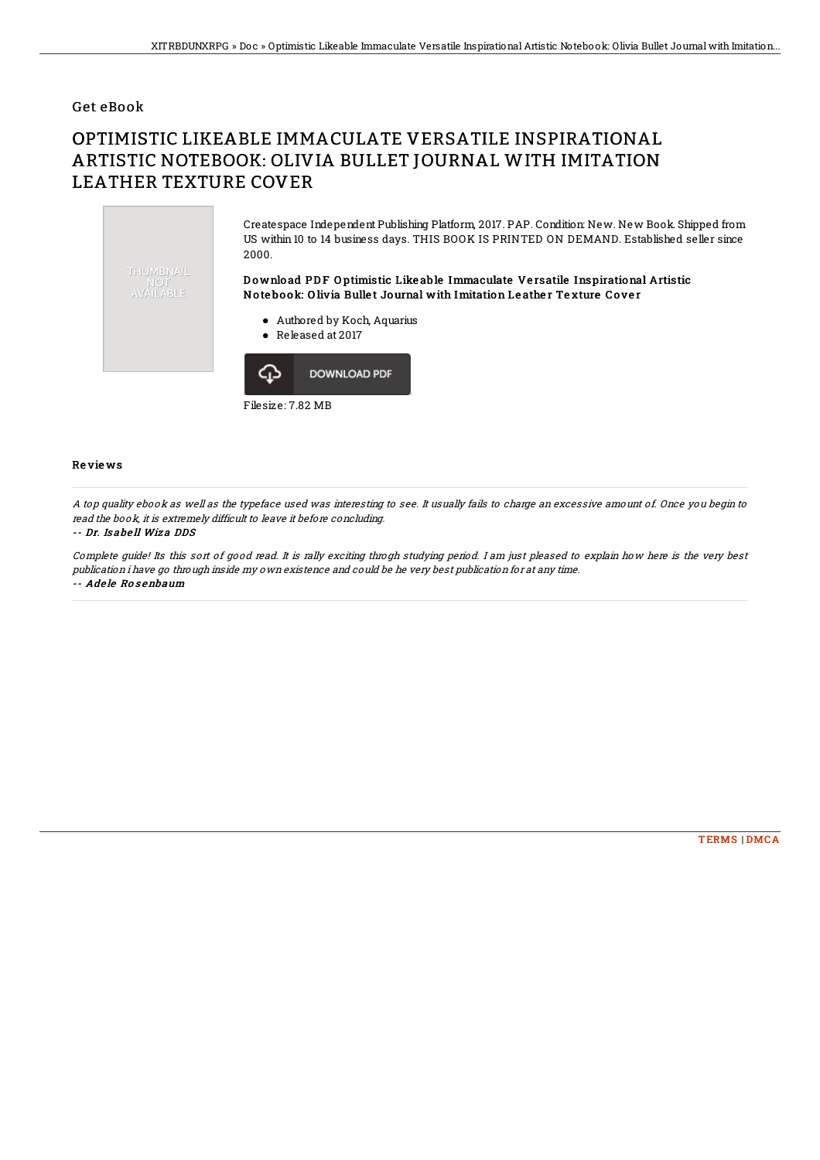## Get eBook

# OPTIMISTIC LIKEABLE IMMACULATE VERSATILE INSPIRATIONAL ARTISTIC NOTEBOOK: OLIVIA BULLET JOURNAL WITH IMITATION LEATHER TEXTURE COVER



Filesize: 7.82 MB

### Re vie ws

A top quality ebook as well as the typeface used was interesting to see. It usually fails to charge an excessive amount of. Once you begin to read the book, it is extremely difficult to leave it before concluding.

#### -- Dr. Is abe ll Wiz a DDS

Complete guide! Its this sort of good read. It is rally exciting throgh studying period. I am just pleased to explain how here is the very best publication i have go through inside my own existence and could be he very best publication for at any time. -- Adele Rosenbaum